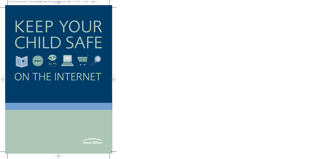# KEEP YOUR CHILD SAFE













# ON THE INTERNET

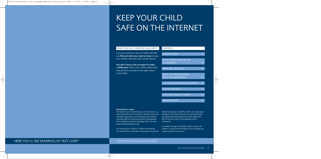# KEEP YOUR CHILD SAFE ON THE INTERNET

# WHAT CAN I DO TO KEEP MY CHILD SAFE?

If you are a parent or carer, this leaflet will help you **find out what you need to know** to keep your children safe when they use the Internet.

**You don't have to be an expert to make a difference!** Talk to your children about what they do online and pass on the safety advice in this leaflet.

| <b>CONTENTS</b>                         |                 |
|-----------------------------------------|-----------------|
|                                         |                 |
| <b>INTRODUCTION</b>                     | 4               |
|                                         |                 |
| WHAT CAN MY CHILD DO ON                 |                 |
| THE INTERNET?                           | 6               |
|                                         |                 |
| <b>WHAT ARE THE RISKS?</b>              | 8               |
|                                         |                 |
| <b>WHAT DO I NEED TO KNOW</b>           |                 |
| <b>ABOUT ONLINE FRIENDS?</b>            | 10              |
|                                         |                 |
| <b>CAN I BLOCK UNSUITABLE MATERIAL?</b> | $\overline{14}$ |
|                                         |                 |
| <b>ACTION CHECKLIST</b>                 | 15              |
|                                         |                 |
| <b>HOW CAN I FIND OUT MORE?</b>         | 16              |
|                                         |                 |
| <b>JARGON BUSTER</b>                    | 17              |
|                                         |                 |

### **Partnership in action**

The Task Force on Child Protection on the Internet is a partnership between Government, industry, police and charitable organisations who all believe that children should be able to use the Internet to its full potential with confidence and the knowledge of the risks they need to keep themselves safe.

Our thanks go to ChildLine, Childnet International, the Internet Service Providers Association, the Internet

Watch Foundation, the NSPCC, NCH, the Cyberspace Research Unit at the University of Central Lancashire, the Department of Education and Skills (DfES) and BECTA for their help in the production of this information.

Our thanks also go to the DfES's online resource for parents: www.parentsonline.gov.uk for providing case studies of parents and carers.

# HERE YOU'LL SEE EXAMPLES OF TEXT CHAT\*

\* With translations so you can understand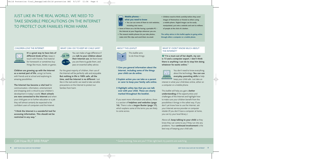# JUST LIKE IN THE REAL WORLD, WE NEED TO TAKE SENSIBLE PRECAUTIONS ON THE INTERNET TO PROTECT OUR FAMILIES FROM HARM.

# **Mobile phones –**

### **what you need to know** lsz

33

- **• You can use some of them to visit websites, including chat rooms.**
- **• Some of them are a bit like having a portable PC – the Internet at your fingertips wherever you are.**
- **• The newest mobile phones let you take photos, make mini film clips and send them via email.**

# ABOUT THIS LEAFLET



This leaflet aims to do three things:

- **1 Give you general information about the Internet, including some of the things your child can do online.**
- **2 Explain action you can take as a parent or carer to keep your family safe online.**
- **3 Highlight safety tips that you can talk over with your child. These are clearly marked throughout the booklet.**

If you want more information and advice, there is a section of **helplines and websites (page 16)**. There is also a **Jargon Buster (page 17)**, which explains some of the terms you are likely to come across.

**• Children need to think carefully before they send images of themselves or friends to others using a mobile phone. Digital images can be easily manipulated, put onto a website and sent to millions of people at the click of a button.**

**The safety advice in this leaflet applies to going online through either a computer or a mobile phone.**

# WHAT IF I DON'T KNOW MUCH ABOUT THE INTERNET?

**"I'm a mum out of her depth, my son ? is 13 and a computer expert. I don't think there is anything I can do to stop him doing whatever he wants online."**



You don't need to know everything about the technology. **You can use everyday parenting skills** to help keep your child safe. Just take an

interest in what your child does online, either on a computer or a mobile phone.

This leaflet will help you gain a **better understanding** of the opportunities and challenges of the Internet and highlight how to make sure your children benefit from the possibilities it brings in the safest way. If you don't yet know how to use the Internet, ask your Internet service provider or computer retailer.(If you don't have a computer at home, you can try your local library.)

Above all, **keep talking to your child** so they know they can come to you if they run into any problems. Your **continued involvement** is the best way of keeping your child safe.

# CHILDREN LOVE THE INTERNET.



**It's a great way to have lots of different kinds of fun**, keep in touch with friends, find material for homework or sometimes buy things like music, books or games.

**Children are growing up with the Internet as a normal part of life**, using it at home, with friends and at school and exploring its amazing possibilities.

**The Internet has become a vital tool** for communication, information, entertainment and shopping and is critical to your children's development in today's world. **Most schools are now connected to the Internet** and when your child goes on to further education or a job they will almost certainly be expected to be confident users of computers and the Internet.

**"I think the Internet is a wonderful tool for accessing information. This should not be restricted in any way."**

# WHAT CAN I DO TO KEEP MY CHILD SAFE?

You can make a huge difference if  $(669)$ you **talk to your children about their Internet use**, let them know you are there to guide them, and pass on essential safety advice.

For the great majority of children, their use of the Internet will be perfectly safe and enjoyable. **But nothing in life is 100% safe, all the time, and the Internet is no different**. Just like in the real world, we need to take sensible precautions on the Internet to protect our families from harm.

# GM How RU? BRB PAW\*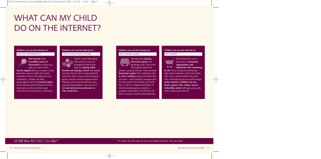# WHAT CAN MY CHILD DO ON THE INTERNET?

# **Children can use the Internet to:**

# FIND OUT INFORMATION



**The Internet is an incredible source of information** on almost any topic you care to name.

**Search engines** allow you to type in a few keywords, names or dates and receive hundreds of links to the subject you are interested in. Children are often encouraged at school to **research topics** on the Internet, and will often turn first to educational or other websites to get information for coursework or homework.

# **Children can use the Internet to:** GET IN TOUCH WITH OTHERS

Emails, Instant Messaging (IM) and chat rooms are probably the best known ways for **making online**

**friends and staying in touch** with people over the Internet. But it is also possible to swap files, films or music, enter discussion groups and play interactive games online. Making contact over the Internet is very popular among children, who see it as a **fun and adventurous extension to their social lives**.

# **Children can use the Internet to:**

# PLAY ONLINE GAMES



Gaming means **playing interactive games** (not gambling!) and is one of the most popular reasons for

children using the Internet. They can either **download a game** from a website to play **or visit a website** to play with others who are online – either friends or strangers who are connected to the Internet at the same time. To do this, children need either an Internet-enabled games console or a computer connected to the Internet, and there is usually a monthly subscription fee.

# **Children can use the Internet to:**

# BUY ONLINE



The Internet links you to thousands of **companies, organisations and**

**individuals with something to sell**. Some of these are well-known high-street companies, which have online sites, but it is also possible to buy items from individuals all over the world through **online auctions**. **Children can buy books, games, CDs, videos, toys or collectibles online**, although you usually need a credit card to do this.

# HI M8 Btw RU VGL? CU L8er\*

# \* Hi mate, by the way are you very good looking? See you later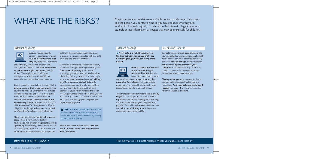# WHAT ARE THE RISKS?<br>See the person you contact online so you have no idea who they are

see the person you contact online so you have no idea who they are. And whilst the vast majority of material on the Internet is legal it is easy to stumble across information or images that may be unsuitable for children.

# INTERNET CONTACTS



Because you can't see the person you contact on-line, you have **no idea if they are who they say they are**. Chat rooms

are particularly popular with children and teenagers, and there is a **risk that paedophiles or sex abusers might use them** to look for victims. They might pose as children or teenagers, try to strike up a friendship and eventually try to persuade them to meet up.

Even if an adult is honest about their age, that is **no guarantee of their good intentions**. They could try to strike up a friendship over a shared interest, say football, and use it to meet a child. While this is rare when compared with the numbers of chat users, **the consequences can be extremely serious**. In recent years, a 33 year old man was jailed for having sex with a 13 year old girl he met through a chat room. He had built up a 'friendship' with her over several months.

There have since been a **number of reported cases** where older men have built up relationships with children in a process known as **'grooming'** before trying to meet them. Section 15 of the Sexual Offences Act 2003 makes it an offence for a person to meet or travel to meet a

child with the intention of committing a sex offence, if he has communicated with that child on at least two previous occasions.

Surfing the Internet from the comfort or safety of home or through a mobile phone can give a **false sense of security**. Children can unwittingly give away personal details such as where they live or go to school, or even begin to trust someone they don't know and **willingly give them personal contact details**. In contacting people over the Internet, children may also inadvertently give out their email address, or yours, which increases the risk of receiving unwanted emails. These emails, known as spam, may contain unsuitable material or even viruses that can damage your computer (see Jargon Buster page 17).

**SAFETY TIP** Be aware of the main risks to<br>children: unsuitable or offensive material, or children: unsuitable or offensive material, or adults who seek to exploit children by making contact over the Internet.

**There are some other risks that you need to know about to use the Internet with confidence…**

# INTERNET CONTENT

**"How safe is my child copying from ? the Internet from her homework? I see her highlighting articles and using them herself."**



**The vast majority of material on the Internet is legal, decent and honest.** But it is easy to find, or even to stumble

\* By the way this is a private message. What's your age, sex and location?

across, information or **images that may be unsuitable for children**. This could include pornography, or material that is violent, racist, inaccurate, or harmful in some other way.

Then there is also Internet material that is **clearly illegal**, such as images of child abuse. There is a separate section later on filtering and monitoring the material that reaches your computer (see page 14). But children also need to feel that they can **talk to an adult they trust** if they come across something they don't like.

# VIRUSES AND HACKERS

Computer viruses or even people hacking into your computer (someone gaining unauthorised access to your computer from their computer) can cause **serious damage**. Some viruses can **hand over complete control of your computer** to someone who may be far away, but who can use it, for their own purposes, for example to send spam to others.

**Playing online games** is an example of when your computer is especially vulnerable to a hack attack. **Anti-virus software and a good firewall** (see page 14) will help minimise the risks from viruses and hacking.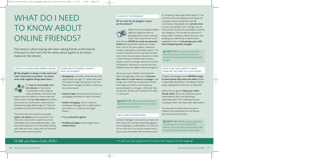# WHAT DO I NEED TO KNOW ABOUT ONLINE FRIENDS?

This section is about staying safe when making friends on the Internet. It focuses on chat rooms but the safety advice applies to all contact made over the Internet.

# HOW DO CHILDREN MAKE FRIENDS ONLINE?

**"My daughter is always in chat rooms and ? I don't know how to use them. I've heard some really negative things about them."**



It is **easy to meet people over the Internet**, to have online 'conversations' and to strike up online friendships. One of the most

popular ways for children to communicate with others online is through **chat rooms** which allow you to have live 'conversations' about common interests (see Jargon Buster page 17). There are hundreds of thousands of these on the Internet.

These chat room conversations are usually **typed, not spoken** and everyone else in the chat room can see what is typed more or less immediately. But as technology develops, some chat rooms allow you to mix text based chatting with video and voice, using a web cam (Internetbased camera) and microphone.

# OTHER WAYS OF MAKING CONTACT OVER THE INTERNET

- **Newsgroups**, and other, similar services (see Jargon Buster on page 17). Unlike chat rooms, the contact through news groups is not 'live'. People leave messages for others to read, just like a notice board.
- **Internet clubs** and communities are ways of exchanging information on topics of interest.
- **Instant messaging**, which is similar to sending text messages from a mobile phone, but is done on a computer (see Jargon Buster).
- Playing **interactive games**.
- **Sending messages** and/or images from a **mobile phone**.

# SO WHAT IS THE PROBLEM?

**"Is it safe for my daughter to give ? out her picture?"**



Adults who want to exploit children might be using chat rooms to persuade them to meet in the real world. That is why the first rule of

chat rooms is **NEVER to reveal any personal details** that would allow someone to contact them, such as full name, address, telephone number, email address and mobile number. This includes information which may seem harmless, such as their favourite pizza restaurant, or where a school hockey or football match is being played. A picture message could reveal a child's whereabouts, and these can also be sent from mobile phones with digital cameras (see page 5).

Get across to your child the most important safety message about chat rooms. **Everyone they meet in a chat room is a stranger**, even though your child may consider them a friend. Encourage your child to see it like giving personal details to a stranger in the street: they would never do that, and it should be the same in a chat room.

**X** SAFETY TIP Never reveal ANY personal details that would allow someone to contact you outside the chat room.

# ONE TO ONE CONVERSATIONS

Contacts that begin in chat rooms can move into other areas such as email, Instant Messaging or text messaging on a mobile phone. Or, once you are in a chat room, you can be invited to have a one-to-one conversation with someone,(known

\* Hi mate, you have a good sense of humour I was rolling on the floor laughing!

as 'whispering' (see Jargon Buster page 17). You can think of this like stepping out of a party full of people, (where everyone can see the conversation being typed) into a **private room** to have a conversation with a stranger. Any of these private, one-to-one conversations could be very dangerous. No one else can read what is being written. Getting a child on their own, and building up a relationship, is exactly what a paedophile wants. So **discourage your child from whispering with strangers**.

**EX SAFETY TIP** Always stay in the public<br>html of a shat room, where evenyone san area of a chat room, where everyone can see the conversation, and where you should be safer.

# WHAT IF MY CHILD WANTS TO MEET SOMEONE THEY MEET IN A CHAT ROOM?

Children and teenagers should **NEVER arrange to meet anyone they have met online** without a responsible adult present. And always choose a public meeting place where you can all be safe.

Explain that it is good to **keep your online friends online**. But if your child does want to meet someone, they must take along a responsible adult. This is nothing to do with snooping on them, but simply basic safety advice.

You may want to explain that on occasions children have met people from the Internet who have tried to harm them.

**SAFETY TIP** NEVER arrange to go alone \* to meet anyone you have met over the Internet. If you do meet an online friend, take an adult with you and meet in a public place.

HI M8, you have a Gsoh, ROFL!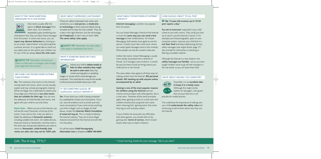# WHAT IF THEY HEAR SOMETHING UNPLEASANT IN A CHAT ROOM?



Chat rooms usually offer the option to **block messages** from other users. So if someone repeatedly types something your

child doesn't like, they can block these messages from the screen. In some chat rooms, you can **report any abusive behaviour** by clicking on an on-screen 'report button' or by phoning their customer services. It is a good idea to check out any safety tools on the system your children use. Or your child can always **leave the chat room**.

**EX SAFETY TIP** Remember, everyone you meet in a chat room is a stranger, even though they might seem like a friend.

# ARE SOME CHAT ROOMS MORE SUITABLE THAN OTHERS?

**Yes.** The numerous chat rooms on the Internet include adult chat rooms, which can be sexually explicit and may include pornographic material. While not illegal, this is definitely for adults-only. Encourage your child only to **use chat rooms that are suitable for their age**. You can save the addresses of child-friendly chat rooms, and agree with your child to use only these.

**Here's how…** When you are on the Internet, you will see the word 'Favourites' at the top of the screen. If you click on this, it lets you add to a folder the addresses of **favourite websites**, including suitable chat rooms. On mobile devices, these are known as 'bookmarks', but they work in the same way, storing web addresses you want to return to. **Remember, child-friendly chat rooms are safer, but may not be 100% safe.**

# WHAT ABOUT SUPERVISED CHAT ROOMS?

These are called moderated chat rooms and sometimes use a **real person, a moderator, or technology** to block personal details being revealed and to keep the chat suitable. They are a step in the right direction, but the technology **isn't foolproof**, so don't rely on them 100%. **The same safety rules apply.**

**X SAFETY TIP** Remember, the same safety rules apply in moderated chat rooms.

# WHAT IF SOMEONE SENDS MY CHILD INFORMATION?

Advise your child to **delete emails or links to other websites they might be sent in chat room** (they may contain pornographic or upsetting images, or viruses which could damage your computer). This could also be a way for the sender to discover personal details about your child.

# IF I SEE SOMETHING ILLEGAL OR SUSPICIOUS, SHOULD I REPORT IT?

**Yes.** If you think your child is being contacted by a paedophile contact your local police. If you can, save all evidence such as emails and chat room conversations.If you come across anything you think is illegal, such as images of child abuse, contact the **Internet Watch Foundation at www.iwf.org.uk.** This is a body funded by the Internet industry. They aim to have illegal material removed from the Internet and will refer it to the police.

Or call the police **Child Pornography Information Line** on freephone **0808 100 0040.**

# WHAT ABOUT OTHER FORMS OF INTERNET CONTACT?

**Internet messaging** is another very popular form of contact.

You can Instant Message a friend on the Internet in much the **same way you can send a text message** to their mobile phone. For Instant Messaging, both parties must agree to use the service. It works much like a chat room, where you swap typed messages more or less instantly. Other people can also be invited to take part.

Unlike chat rooms, Instant Messaging is usually more closely associated with a network of friends. So if strangers were invited in, it would be easy for them to find out things about your child and his or her friends.

The same safety rules apply to all these ways of making contact over the Internet: **NO personal details, NO meeting up with anyone unless accompanied by an adult.**

# **Gaming is one of the most popular reasons for children using the Internet** and can

involve communication with other gamers, like in a chat room. Therefore all the same principles apply when gaming as when in a chat room and children should avoid using their own name when choosing their 'gaming name' (the name they log on with and play under).

If your children do encounter any difficulties with other gamers, you should refer to the gaming sites' **terms of service**, which should clearly state ways to report violations.

# HOW SHOULD LREACT TO ALL THIS?

# **"My 13-year-old receives up to 10-30 ? porn spams a day."**

**Try not to overreact**, especially if your child comes to you with a worry. They could just clam up or start to use the Internet in secret. If, for example you find pornographic spam on your computer system, reassure your child that it is **not their fault** and keep emphasising the key safety messages (see Jargon Buster page 17). See overleaf for information on blocking or filtering unsuitable material.

Although the Internet is a new medium, the **safety messages are familiar**. Just as you have taught children never to go off with strangers in the real world, so you can teach them here.

# WHAT ABOUT MOVING THE COMPUTER?



If possible, it is an **excellent idea to keep it in a family room**. (Although this might not be realistic for teenagers, who guard their privacy!) But this is not

possible for mobile phones.

This underlines the importance of making sure your child **understands the safety rules** and continuing to talk to them about how they use the Internet.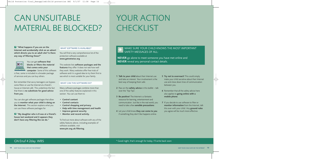# CAN UNSUITABLE MATERIAL BE BLOCKED?

# YOUR ACTION **CHECKLIST**

**"What happens if you are on the ?** WHAT SOFTWARE IS AVAILABLE? **Internet and accidentally click on an advert which directs you to an adult site? Is there any way of filtering these?"**



You can get **software that blocks or filters the material that comes onto your computer**. Some of this software

is free, some is included in a broader package of services and you can buy others.

But remember that savvy teenagers can bypass some filters or use the Internet at a friend's house or Internet café. This underlines the fact that there is **no substitute for good advice from you**.

You can also get software packages that allow you to **monitor what your child is doing on the Internet.** This section explains what you can use these software packages for.

**"My daughter who is 8 was at a friend's ? house last weekend and it appears they don't have any filtering like we do."**

You will find a very comprehensive list of the protection software available at **www.getnetwise.org**

This website lists **software packages and the features** they offer. It does not rate how well they work. Many websites offer free trials of software and it is a good idea to try them first to see which is most suitable for your family.

# WHAT CAN THIS SOFTWARE DO?

Many software packages combine more than one of the safety features explained in this section. You can use them to:

- **• Control content**
- **• Control contacts**
- **• Control shopping and privacy**
- **• Help with time management and health**
- **• Improve general security**
- **• Monitor and record activity.**

To find out more about software with any of the safety features above, including examples of software available, visit **www.pin.org.uk/filtering.**

# MAKE SURE YOUR CHILD KNOWS THE MOST IMPORTANT SAFETY MESSAGES OF ALL: **X** MAKE SURE YOUR CHILD KNOWS THE MOST IMPO<br>SAFETY MESSAGES OF ALL:<br>NEVER go alone to meet someone you have met online and

**NEVER** reveal any personal contact details.

- **1 Talk to your child** about their Internet use and take an interest. Your involvement is the best way of keeping them safe.
- **2** Pass on the **safety advice** in this leaflet talk over the 'Top Tips'.
- **3 Be positive!** The Internet is a fantastic resource for learning, entertainment and communication. Just like in the real world, you need to take a few **sensible precautions**.
- **4** Let your child know **they can come to you** if something they don't like happens online.
- **5 Try not to overreact!** This could simply make your child secretive about their Internet use and close down lines of communication between you.
- **6** Remember that all the safety advice here also applies to **going online with a mobile phone**.
- **7** If you decide to use software to filter or **monitor information** from the Internet, talk this over with your child. Any **ground rules** you agree will be much more effective.

# GN Enuf 4 2day. WBS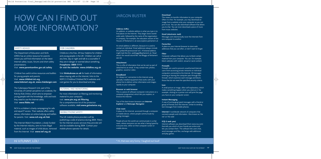# HOW CAN I FIND OUT MORE INFORMATION?

# SAFETY ADVICE

The Department of Education and Skills (DfES) has an online resource for parents where you will find information on the latest Internet safety issues, forums and short safety presentations.

Visit: **www.parentsonline.gov.uk/safety**

Childnet has useful online resources and leaflets for young people and parents. Visit: **www.childnet-int.org www.kidsmart.org.uk, www.chatdanger.com**

The Cyberspace Research Unit, part of the University of Central Lancashire run a website, For Kids by Kids Online, which aims to empower young people with the knowledge, skills and tools they need to use the Internet safely. Visit: **www.fkbko.net**

NCH is a children's charity campaigning for safe and equal IT access. Their website offers safety advice, information on online bullying and leaflets for parents. Visit: **www.nch.org.uk/itok**

The Internet Watch Foundation, a body funded by the Internet industry, aims to have illegal material, such as images of child abuse, removed from the Internet. Visit: **www.iwf.org.uk**

# FOR CHILDREN

ChildLine is the free, 24-hour helpline for children and young people in the UK. Children can call at any time, day or night and talk to a counsellor if they are in danger or worried about something. **Freephone: 0800 1111 Or visit the website: www.childline.org.uk**

Visit **thinkuknow.co.uk** for loads of information about staying safe on the Internet, links to the NSPCC/Childline/Childnet/NCH websites and cool games for you to download and play.

# FILTERING AND MONITORING

For more information on filtering and monitoring material to your computer, visit: **www.pin.org.uk/filtering** For a comprehensive list of the protection software available, **visit:www.getnetwise.org**

# MOBILE PHONE SAFETY

The UK mobile phone providers will be publishing a code of practice during 2004. Filters for the Internet access services they provide will also be available during 2004. Contact your mobile phone operator for details.

# JARGON BUSTER

# **Address (URL)**

An address, or website address is what you type in to find places on the Internet. They begin www (world wide web), followed by the name of the organisation or company. For example, the education section of the Houses of Parliament is at www.explore.parliament.uk

An email address is different, because it is used to contact an individual. Email addresses always include the symbol @ (pronounced 'at'). A fictional address might look like this: joebloggs@parliament.uk. Read aloud, this would sound like 'Joe Bloggs at Parliament dot UK.

# **Attachment**

This is a file of information that can be sent as part of (attached to) an email. It may contain text, photos, graphics, sound or video.

# **Broadband**

An 'always-on' connection to the Internet using specially installed equipment that works with your phone line to deliver online information and images rapidly to your computer.

# **Browser or web browser**

This is a piece of software (computer instructions or a computer programme) which lets you explore, or browse the Internet.

Two of the best-known browsers are **Internet Explorer** and **Netscape Navigator**.

# **Chat room**

A place on the Internet, accessed through a computer or mobile device, where people communicate by typing messages.

People all over the world can communicate in a chat room, where everyone can see what is being typed by everyone else, either on their computer screen or mobile device.

## **Download**

This means to transfer information to your computer. Often it is free. For example, you may download an image from a website onto your computer so you can print it out. You can also download software that allows you to chat. You can even download a piece of music from music websites.

# **Email (electronic mail)**

Messages sent electronically (over the Internet) from one computer to another.

# **Favourites**

A place on your Internet browser to store web addresses that you use often, or don't want to forget.

# **Filter**

Computer software that allows you to block certain material from your computer. You can, for example, block websites with violent, sexual or racist content.

# **Firewalls**

Firewalls are used to prevent unauthorised Internet users from accessing private networks or individual computers connected to the Internet. All messages entering or leaving the computer pass through the firewall, which examines each message and blocks those that do not meet the specified security criteria.

# **Icon**

A small picture or image, often self-explanatory, which makes something happen when you click on it. For example, clicking on a printer icon will print the page you have on your computer screen.

# **Instant Messaging**

A way of exchanging typed messages with a friend or group of friends over the Internet, similar to sending text messages from mobile phones.

**Internet** A worldwide network of computers that connects people and information. Also known as 'the net' or 'the web'.

# **ICQ (I seek you)**

Internet software you download (from www.icq.com) that tells you which of your friends are online and lets you contact them. The software lets users chat, send messages and files, exchange web addresses and play games.

# Hi V.FUNNY, LOL!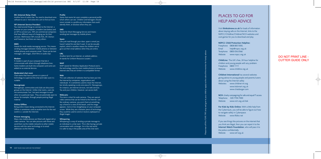### **IRC** (Internet Relay Chat)

Another form of online chat. You need to download some software to use it. Visit www.mirc.com to find out more.

### ISP (Internet Service Provider)

You need several things to connect to the Internet: a browser on your computer, a modem (see below) and an ISP to connect you. ISPs are commercial companies that have different ways of charging you for their services. Well-known ISPs include AOL, BT, Demon and Freeserve, but there are many others.

## **M M S**

Stands for multi-media messaging service. This means sending messages between mobile phones or between mobile phones and computer email. These can be text messages, still images, short films or audio clips.

## **M o d e m**

A modem is part of your computer that lets it communicate with others through telephone lines. Some modems are built into computers and some are added on as external devices.

### **Moderated chat room**

Chat rooms that have a person or a piece of technology to supervise the chat and make sure it is suitable.

### **Newsgroups**

Newsgroups, communities and clubs are discussion groups on the Internet. Unlike chat rooms, users do not communicate 'live', but post messages to each other on a particular topic. They are potentially open to abuse, for example, through people posting illegal material

## **Online/Offline**

Being online means being connected to the Internet. Offline is sometimes used as another term for the real world (i.e. outside the Internet).

## **Picture messaging**

Many new mobile phones are fitted with digital still or video cameras. You can take pictures with these and send them via the mobile networks to other mobile devices with the same technology or to email addresses via the Internet.

### **P r o f i l e**

Some chat rooms let users complete a personal profile which others can see. Children and teenagers should never include in a profile any information that could identify them, or disclose where they are.

### **S M S**

Stands for Short Messaging Service and means sending text messages by mobile phone.

## **S p a m**

Like junk mail through your door, spam is email you haven't asked for and don't want. It can be sexually explicit, which is another reason for children not to give out their email address when they are online.

# **U R L**

Another term for an Internet, or website address. (It stands for Uniform Resource Locator.)

## **WA P**

WAP stands for Wireless Application Protocol and is the technology used by most mobile phones to browse Internet sites that are written in a compatible format.

# **We b**

The vast collection of websites that has been put into the Internet by companies, organisations and individuals. It is sometimes used to mean the Internet, but strictly speaking is only one area of it. Newsgroups, for instance, are Internet services, not web services. You and your children, however, can access both.

## **We b c a m s**

This term is short for web cameras. They are special video cameras that can be linked to the Internet. Just like ordinary cameras, you point them at something, say a friend or a view of the beach, and the image appears, more or less straightaway on your computer screen. While they are a fantastic piece of technology, they could be used to send or receive unpleasant or illegal images.

# **Whispering**

Whispering is a way of sending a private message to an individual in a chat room. This is like having a private conversation with a stranger. As in the real world, it is safer to stay in the public area of the chat room.